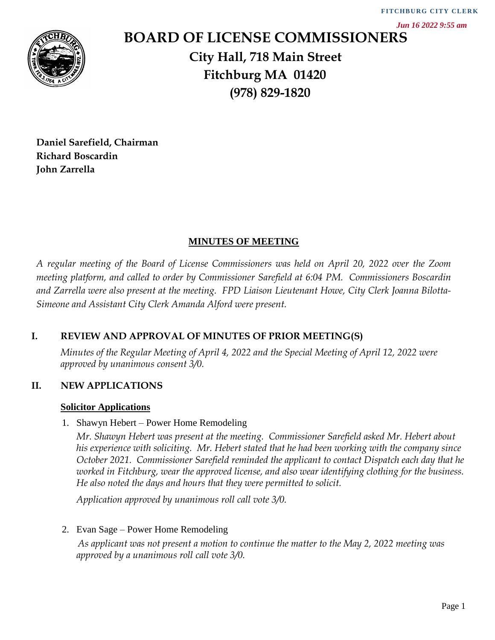*Jun 16 2022 9:55 am*



# **BOARD OF LICENSE COMMISSIONERS City Hall, 718 Main Street Fitchburg MA 01420 (978) 829-1820**

**Daniel Sarefield, Chairman Richard Boscardin John Zarrella**

## **MINUTES OF MEETING**

*A regular meeting of the Board of License Commissioners was held on April 20, 2022 over the Zoom meeting platform, and called to order by Commissioner Sarefield at 6:04 PM. Commissioners Boscardin and Zarrella were also present at the meeting. FPD Liaison Lieutenant Howe, City Clerk Joanna Bilotta-Simeone and Assistant City Clerk Amanda Alford were present.*

## **I. REVIEW AND APPROVAL OF MINUTES OF PRIOR MEETING(S)**

*Minutes of the Regular Meeting of April 4, 2022 and the Special Meeting of April 12, 2022 were approved by unanimous consent 3/0.* 

#### **II. NEW APPLICATIONS**

#### **Solicitor Applications**

1. Shawyn Hebert – Power Home Remodeling

*Mr. Shawyn Hebert was present at the meeting. Commissioner Sarefield asked Mr. Hebert about his experience with soliciting. Mr. Hebert stated that he had been working with the company since October 2021. Commissioner Sarefield reminded the applicant to contact Dispatch each day that he worked in Fitchburg, wear the approved license, and also wear identifying clothing for the business. He also noted the days and hours that they were permitted to solicit.* 

*Application approved by unanimous roll call vote 3/0.*

2. Evan Sage – Power Home Remodeling

*As applicant was not present a motion to continue the matter to the May 2, 2022 meeting was approved by a unanimous roll call vote 3/0.*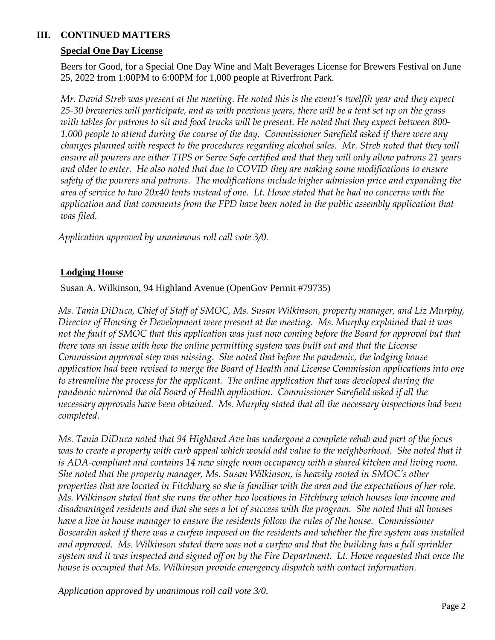# **III. CONTINUED MATTERS**

# **Special One Day License**

Beers for Good, for a Special One Day Wine and Malt Beverages License for Brewers Festival on June 25, 2022 from 1:00PM to 6:00PM for 1,000 people at Riverfront Park.

*Mr. David Streb was present at the meeting. He noted this is the event's twelfth year and they expect 25-30 breweries will participate, and as with previous years, there will be a tent set up on the grass with tables for patrons to sit and food trucks will be present. He noted that they expect between 800- 1,000 people to attend during the course of the day. Commissioner Sarefield asked if there were any changes planned with respect to the procedures regarding alcohol sales. Mr. Streb noted that they will ensure all pourers are either TIPS or Serve Safe certified and that they will only allow patrons 21 years and older to enter. He also noted that due to COVID they are making some modifications to ensure safety of the pourers and patrons. The modifications include higher admission price and expanding the area of service to two 20x40 tents instead of one. Lt. Howe stated that he had no concerns with the application and that comments from the FPD have been noted in the public assembly application that was filed.* 

*Application approved by unanimous roll call vote 3/0.*

## **Lodging House**

Susan A. Wilkinson, 94 Highland Avenue (OpenGov Permit #79735)

*Ms. Tania DiDuca, Chief of Staff of SMOC, Ms. Susan Wilkinson, property manager, and Liz Murphy, Director of Housing & Development were present at the meeting. Ms. Murphy explained that it was not the fault of SMOC that this application was just now coming before the Board for approval but that there was an issue with how the online permitting system was built out and that the License Commission approval step was missing. She noted that before the pandemic, the lodging house application had been revised to merge the Board of Health and License Commission applications into one to streamline the process for the applicant. The online application that was developed during the pandemic mirrored the old Board of Health application. Commissioner Sarefield asked if all the necessary approvals have been obtained. Ms. Murphy stated that all the necessary inspections had been completed.*

*Ms. Tania DiDuca noted that 94 Highland Ave has undergone a complete rehab and part of the focus*  was to create a property with curb appeal which would add value to the neighborhood. She noted that it *is ADA-compliant and contains 14 new single room occupancy with a shared kitchen and living room. She noted that the property manager, Ms. Susan Wilkinson, is heavily rooted in SMOC's other properties that are located in Fitchburg so she is familiar with the area and the expectations of her role. Ms. Wilkinson stated that she runs the other two locations in Fitchburg which houses low income and disadvantaged residents and that she sees a lot of success with the program. She noted that all houses have a live in house manager to ensure the residents follow the rules of the house. Commissioner Boscardin asked if there was a curfew imposed on the residents and whether the fire system was installed*  and approved. Ms. Wilkinson stated there was not a curfew and that the building has a full sprinkler *system and it was inspected and signed off on by the Fire Department. Lt. Howe requested that once the house is occupied that Ms. Wilkinson provide emergency dispatch with contact information.* 

*Application approved by unanimous roll call vote 3/0.*